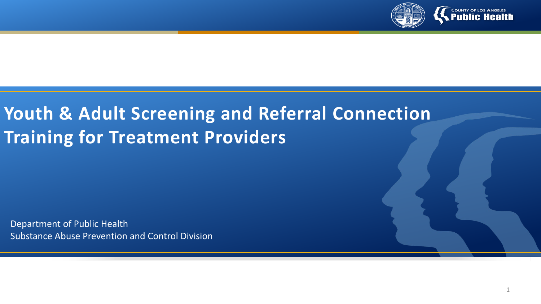

# **Youth & Adult Screening and Referral Connection Training for Treatment Providers**

Department of Public Health Substance Abuse Prevention and Control Division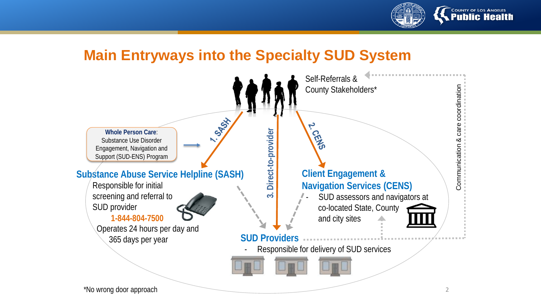

### **Main Entryways into the Specialty SUD System**

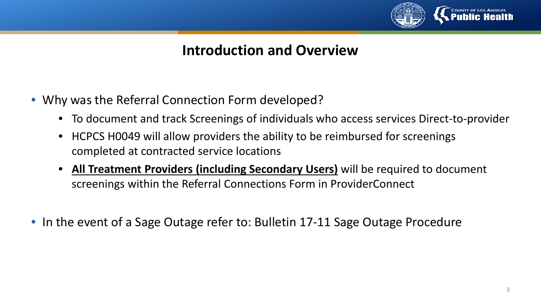

#### **Introduction and Overview**

- Why was the Referral Connection Form developed?
	- To document and track Screenings of individuals who access services Direct-to-provider
	- HCPCS H0049 will allow providers the ability to be reimbursed for screenings completed at contracted service locations
	- **All Treatment Providers (including Secondary Users)** will be required to document screenings within the Referral Connections Form in ProviderConnect
- In the event of a Sage Outage refer to: Bulletin 17-11 Sage Outage Procedure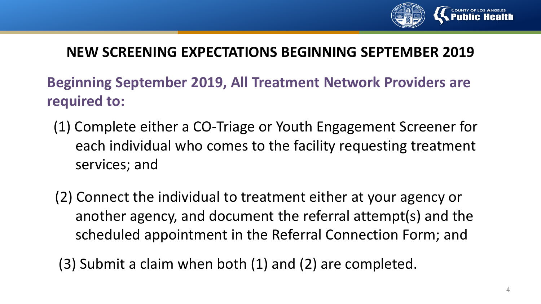

### **NEW SCREENING EXPECTATIONS BEGINNING SEPTEMBER 2019**

**Beginning September 2019, All Treatment Network Providers are required to:**

- (1) Complete either a CO-Triage or Youth Engagement Screener for each individual who comes to the facility requesting treatment services; and
- (2) Connect the individual to treatment either at your agency or another agency, and document the referral attempt(s) and the scheduled appointment in the Referral Connection Form; and

(3) Submit a claim when both (1) and (2) are completed.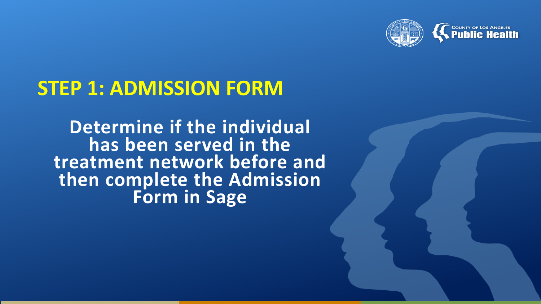

# **STEP 1: ADMISSION FORM**

**Determine if the individual has been served in the treatment network before and then complete the Admission Form in Sage**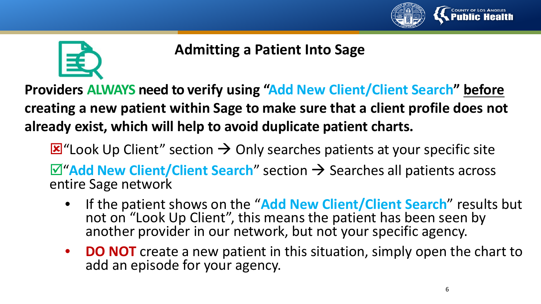



## **Admitting a Patient Into Sage**

**Providers ALWAYS need to verify using "Add New Client/Client Search" before creating a new patient within Sage to make sure that a client profile does not already exist, which will help to avoid duplicate patient charts.**

 $\mathbf{\Sigma}$ "Look Up Client" section  $\rightarrow$  Only searches patients at your specific site

 $\overline{\mathbf{M}}$ **"Add New Client/Client Search**" section  $\rightarrow$  Searches all patients across entire Sage network

- If the patient shows on the "**Add New Client/Client Search**" results but not on "Look Up Client", this means the patient has been seen by another provider in our network, but not your specific agency.
- **DO NOT** create a new patient in this situation, simply open the chart to add an episode for your agency.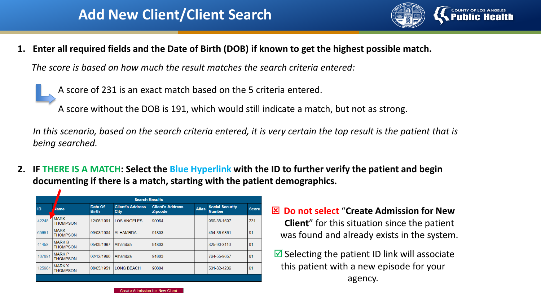### **Add New Client/Client Search**



**1. Enter all required fields and the Date of Birth (DOB) if known to get the highest possible match.**

*The score is based on how much the result matches the search criteria entered:*

A score of 231 is an exact match based on the 5 criteria entered.

A score without the DOB is 191, which would still indicate a match, but not as strong.

*In this scenario, based on the search criteria entered, it is very certain the top result is the patient that is being searched.* 

**2. IF THERE IS A MATCH: Select the Blue Hyperlink with the ID to further verify the patient and begin documenting if there is a match, starting with the patient demographics.**

|                                       | <b>Search Results</b>            |            |                                 |                                           |              |                                         |              |
|---------------------------------------|----------------------------------|------------|---------------------------------|-------------------------------------------|--------------|-----------------------------------------|--------------|
| Date Of<br>ID<br>Name<br><b>Birth</b> |                                  |            | <b>Client's Address</b><br>City | <b>Client's Address</b><br><b>Zipcode</b> | <b>Alias</b> | <b>Social Security</b><br><b>Number</b> | <b>Score</b> |
| 42248                                 | <b>NARK</b><br><b>THOMPSON</b>   | 12/06/1991 | <b>LOS ANGELES</b>              | 90064                                     |              | 960-38-1697                             | 231          |
| 65651                                 | <b>MARK</b><br><b>THOMPSON</b>   | 09/08/1984 | <b>ALHAMBRA</b>                 | 91803                                     |              | 454-36-6861                             | 91           |
| 41458                                 | <b>MARK B</b><br><b>THOMPSON</b> | 05/09/1967 | Alhambra                        | 91803                                     |              | 325-90-3110                             | 91           |
| 107991                                | <b>MARK P</b><br><b>THOMPSON</b> | 02/12/1960 | Alhambra                        | 91803                                     |              | 764-55-9657                             | 91           |
| 125964                                | <b>MARK X</b><br><b>THOMPSON</b> | 08/05/1951 | <b>LONG BEACH</b>               | 90804                                     |              | 501-32-4206                             | 91           |
|                                       |                                  |            |                                 |                                           |              |                                         |              |

- **Do not select** "**Create Admission for New Client**" for this situation since the patient was found and already exists in the system.
- $\blacksquare$  Selecting the patient ID link will associate this patient with a new episode for your agency.

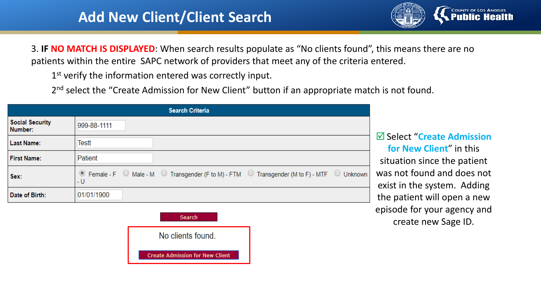## **Add New Client/Client Search**



3. **IF NO MATCH IS DISPLAYED**: When search results populate as "No clients found", this means there are no patients within the entire SAPC network of providers that meet any of the criteria entered.

1<sup>st</sup> verify the information entered was correctly input.

2<sup>nd</sup> select the "Create Admission for New Client" button if an appropriate match is not found.

|                                   | <b>Search Criteria</b>                                                                                                                                                 |
|-----------------------------------|------------------------------------------------------------------------------------------------------------------------------------------------------------------------|
| <b>Social Security</b><br>Number: | 999-88-1111                                                                                                                                                            |
| <b>Last Name:</b>                 | Testt                                                                                                                                                                  |
| <b>First Name:</b>                | Patient                                                                                                                                                                |
| Sex:                              | $\circledcirc$ Female - F $\circledcirc$ Male - M $\circledcirc$ Transgender (F to M) - FTM $\circledcirc$ Transgender (M to F) - MTF $\circledcirc$<br>Unknown<br>- U |
| Date of Birth:                    | 01/01/1900                                                                                                                                                             |
|                                   | Search                                                                                                                                                                 |
|                                   | No clients found.                                                                                                                                                      |

**Create Admission for New Client** 

#### Select "**Create Admission for New Client**" in this situation since the patient was not found and does not exist in the system. Adding the patient will open a new episode for your agency and create new Sage ID.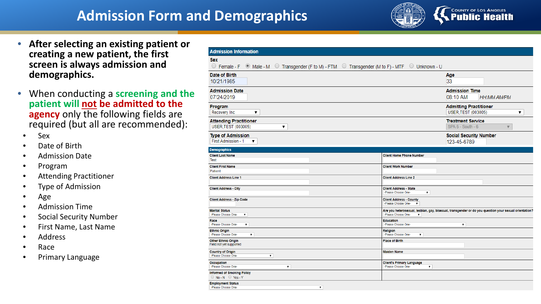## **Admission Form and Demographics**



- **After selecting an existing patient or creating a new patient, the first screen is always admission and demographics.**
- When conducting a **screening and the patient will not be admitted to the agency** only the following fields are required (but all are recommended):
	- Sex
	- Date of Birth
	- Admission Date
	- Program
	- Attending Practitioner
	- Type of Admission
	- Age
	- Admission Time
	- Social Security Number
	- First Name, Last Name
	- Address
	- Race
	- Primary Language

| <b>Admission Information</b>                                                                                  |                                                                                                                                    |
|---------------------------------------------------------------------------------------------------------------|------------------------------------------------------------------------------------------------------------------------------------|
| <b>Sex</b><br>○ Female - F © Male - M ○ Transgender (F to M) - FTM © Transgender (M to F) - MTF © Unknown - U |                                                                                                                                    |
| Date of Birth<br>10/21/1985                                                                                   | Age<br>33                                                                                                                          |
| <b>Admission Date</b><br>07/24/2019                                                                           | <b>Admission Time</b><br>08:10 AM<br><b>HH:MM AM/PM</b>                                                                            |
| Program<br>Recovery Inc<br>▼                                                                                  | <b>Admitting Practitioner</b><br><b>USER, TEST (003005)</b><br>▼                                                                   |
| <b>Attending Practitioner</b><br><b>USER, TEST (003005)</b><br>▼                                              | <b>Treatment Service</b><br>SPA 6 - South - 6<br>$\overline{\mathbf{v}}$                                                           |
| <b>Type of Admission</b><br>First Admission - 1<br>۷.                                                         | <b>Social Security Number</b><br>123-45-6789                                                                                       |
| <b>Demographics</b>                                                                                           |                                                                                                                                    |
| <b>Client Last Name</b><br>Test                                                                               | <b>Client Home Phone Number</b>                                                                                                    |
| <b>Client First Name</b><br>Patient                                                                           | <b>Client Work Number</b>                                                                                                          |
| <b>Client Address Line 1</b>                                                                                  | <b>Client Address Line 2</b>                                                                                                       |
| <b>Client Address - City</b>                                                                                  | <b>Client Address - State</b><br>-Please Choose One-<br>▼                                                                          |
| <b>Client Address - Zip Code</b>                                                                              | <b>Client Address - County</b><br>-Please Choose One-<br>$\mathbf{v}$                                                              |
| <b>Marital Status</b><br>-Please Choose One-<br>$\pmb{\mathrm{v}}$                                            | Are you heterosexual, lesbian, gay, bisexual, transgender or do you question your sexual orientation?<br>-Please Choose One-<br>۷. |
| Race<br>$\pmb{\mathrm{v}}$<br>-Please Choose One-                                                             | <b>Education</b><br>-Please Choose One-<br>$\pmb{\mathrm{v}}$                                                                      |
| <b>Ethnic Origin</b><br>-Please Choose One-<br>$\pmb{\mathrm{v}}$                                             | <b>Religion</b><br>-Please Choose One-<br>$\pmb{\mathrm{v}}$                                                                       |
| <b>Other Ethnic Origin</b><br>Field not yet supported                                                         | <b>Place of Birth</b>                                                                                                              |
| <b>Country of Origin</b><br>-Please Choose One-<br>$\pmb{\mathrm{v}}$                                         | <b>Maiden Name</b>                                                                                                                 |
| <b>Occupation</b><br>$\pmb{\mathrm{v}}$<br>-Please Choose One-                                                | <b>Client's Primary Language</b><br>-Please Choose One-<br>۷.                                                                      |
| <b>Informed of Smoking Policy</b><br>$\bigcirc$ No - N $\bigcirc$ Yes - Y                                     |                                                                                                                                    |
| <b>Employment Status</b><br>-Please Choose One-<br>$\pmb{\nabla}$                                             |                                                                                                                                    |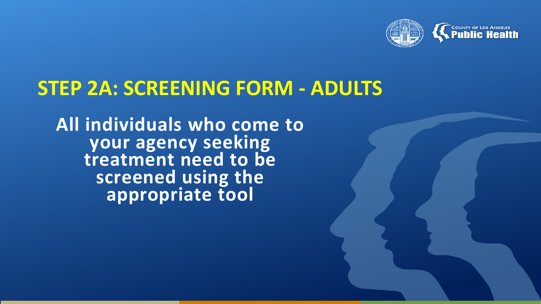

## **STEP 2A: SCREENING FORM - ADULTS**

**All individuals who come to your agency seeking treatment need to be screened using the appropriate tool**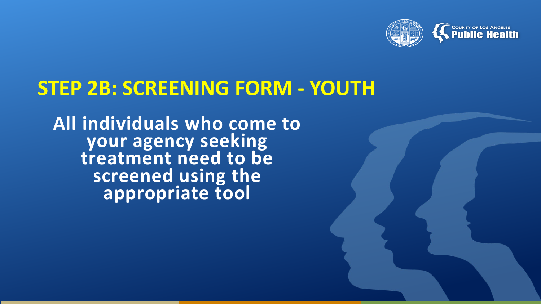

# **STEP 2B: SCREENING FORM - YOUTH**

**All individuals who come to your agency seeking treatment need to be screened using the appropriate tool**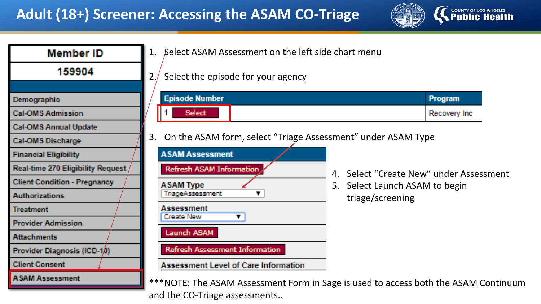

| <b>Member ID</b>                    | Select ASAM Assessment on the left side chart menu                                  |                                         |
|-------------------------------------|-------------------------------------------------------------------------------------|-----------------------------------------|
| 159904                              | Select the episode for your agency<br>2.1                                           |                                         |
| Demographic                         | <b>Episode Number</b>                                                               | <b>Program</b>                          |
| <b>Cal-OMS Admission</b>            | <b>Select</b>                                                                       | Recovery Inc.                           |
| <b>Cal-OMS Annual Update</b>        |                                                                                     |                                         |
| <b>Cal-OMS Discharge</b>            | On the ASAM form, select "Triage Assessment" under ASAM Type<br>3.                  |                                         |
| <b>Financial Eligibility</b>        | <b>ASAM Assessment</b>                                                              |                                         |
| Real-time 270 Eligibility Request / | Refresh ASAM Information                                                            | 4. Select "Create New" under Assessment |
| <b>Client Condition - Pregnancy</b> | <b>ASAM Type</b><br>5. Select Launch ASAM to begin                                  |                                         |
| <b>Authorizations</b>               | TriageAssessment<br>triage/screening                                                |                                         |
| <b>Treatment</b>                    | Assessment<br><b>Create New</b><br>Τ.                                               |                                         |
| <b>Provider Admission</b>           |                                                                                     |                                         |
| <b>Attachments</b>                  | Launch ASAM                                                                         |                                         |
| Provider Diagnosis (ICD-10)         | Refresh Assessment Information                                                      |                                         |
| <b>Client Consent</b>               | <b>Assessment Level of Care Information</b>                                         |                                         |
| <b>ASAM Assessment</b>              | ***NOTE: The ASAM Assessment Form in Sage is used to access both the ASAM Continuum |                                         |
|                                     | and the CO-Triage assessments                                                       |                                         |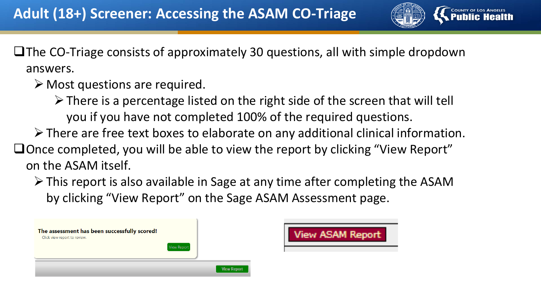

 $\Box$  The CO-Triage consists of approximately 30 questions, all with simple dropdown answers.

- $\triangleright$  Most questions are required.
	- $\triangleright$  There is a percentage listed on the right side of the screen that will tell you if you have not completed 100% of the required questions.
- $\triangleright$  There are free text boxes to elaborate on any additional clinical information.
- $\Box$  Once completed, you will be able to view the report by clicking "View Report" on the ASAM itself.
	- $\triangleright$  This report is also available in Sage at any time after completing the ASAM by clicking "View Report" on the Sage ASAM Assessment page.

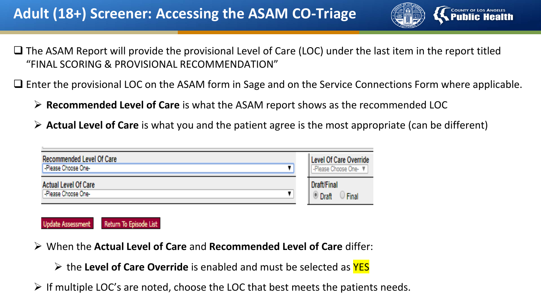

- $\Box$  The ASAM Report will provide the provisional Level of Care (LOC) under the last item in the report titled "FINAL SCORING & PROVISIONAL RECOMMENDATION"
- $\Box$  Enter the provisional LOC on the ASAM form in Sage and on the Service Connections Form where applicable.
	- **Recommended Level of Care** is what the ASAM report shows as the recommended LOC
	- **Actual Level of Care** is what you and the patient agree is the most appropriate (can be different)

| <b>Recommended Level Of Care</b>            | Level Of Care Override                              |
|---------------------------------------------|-----------------------------------------------------|
| -Please Choose One-                         | I - Please Choose One- ▼                            |
| Actual Level Of Care<br>-Please Choose One- | Draft/Final<br><b>Final</b><br><sup>(a)</sup> Draft |



- When the **Actual Level of Care** and **Recommended Level of Care** differ:
	- **EX** the Level of Care Override is enabled and must be selected as YES
- $\triangleright$  If multiple LOC's are noted, choose the LOC that best meets the patients needs.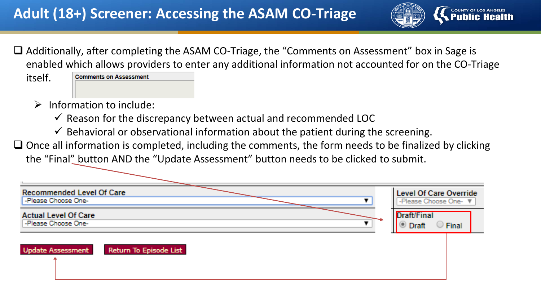

□ Additionally, after completing the ASAM CO-Triage, the "Comments on Assessment" box in Sage is enabled which allows providers to enter any additional information not accounted for on the CO-Triage

itself.

**Comments on Assessment** 

- $\triangleright$  Information to include:
	- $\checkmark$  Reason for the discrepancy between actual and recommended LOC
	- $\checkmark$  Behavioral or observational information about the patient during the screening.
- $\Box$  Once all information is completed, including the comments, the form needs to be finalized by clicking the "Final" button AND the "Update Assessment" button needs to be clicked to submit.

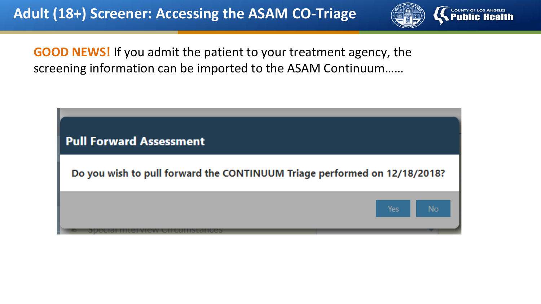

**GOOD NEWS!** If you admit the patient to your treatment agency, the screening information can be imported to the ASAM Continuum……

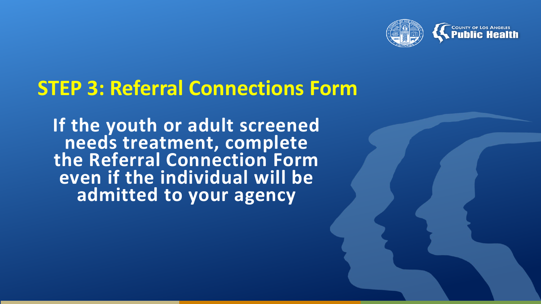

# **STEP 3: Referral Connections Form**

**If the youth or adult screened needs treatment, complete the Referral Connection Form even if the individual will be admitted to your agency**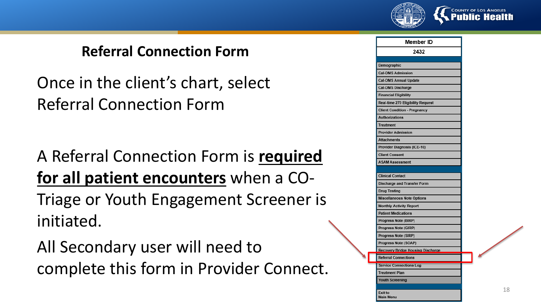

Once in the client's chart, select Referral Connection Form

A Referral Connection Form is **required for all patient encounters** when a CO-Triage or Youth Engagement Screener is initiated.

All Secondary user will need to complete this form in Provider Connect.

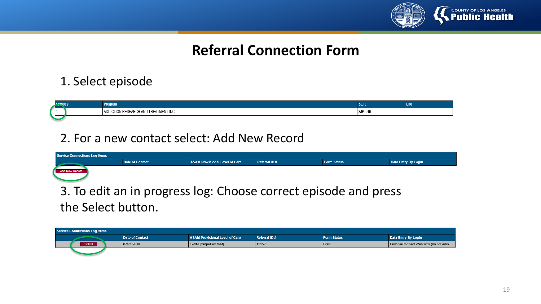

#### 1. Select episode

|  | raarsi                                      | موالا الكور       |  |
|--|---------------------------------------------|-------------------|--|
|  | AD)<br>–∧iME™<br>IEN I INU.<br>Ann.<br>13 E | 3/9/2016<br>----- |  |
|  |                                             |                   |  |

#### 2. For a new contact select: Add New Record

| Service Connections Log Items |                        |                                       |                     |                                                                 |                            |  |  |
|-------------------------------|------------------------|---------------------------------------|---------------------|-----------------------------------------------------------------|----------------------------|--|--|
|                               | <b>Date of Contact</b> | <b>ASAM Provisional Level of Care</b> | <b>Referral ID#</b> | <b>Form Status</b>                                              | <b>Data Entry By Login</b> |  |  |
| Add New Record                |                        |                                       |                     |                                                                 |                            |  |  |
|                               |                        |                                       |                     | 3. To edit an in progress log: Choose correct episode and press |                            |  |  |

the Select button.

| <b>Service Connections Log Items</b> |                        |                                |              |                    |                                       |  |  |
|--------------------------------------|------------------------|--------------------------------|--------------|--------------------|---------------------------------------|--|--|
|                                      | <b>Date of Contact</b> | ASAM Provisional Level of Care | Referral ID# | <b>Form Status</b> | Data Entry By Login                   |  |  |
| Select                               | 07/21/2019             | 1-WM [Outpatient WM]           | 15557        | Draft              | ProviderConnect WebSvcs (do not edit) |  |  |
|                                      |                        |                                |              |                    |                                       |  |  |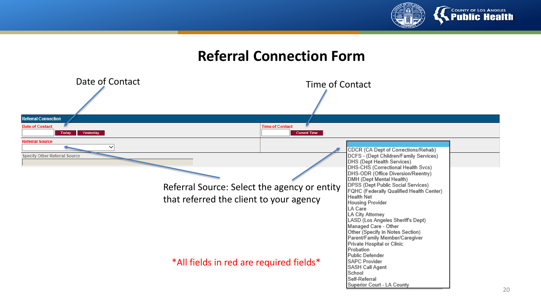

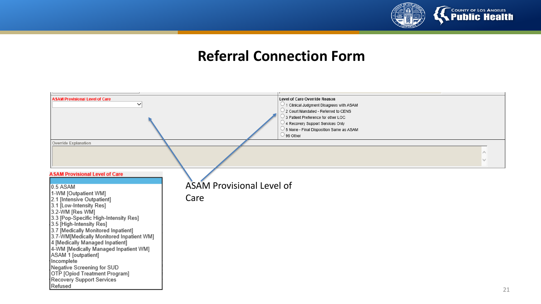

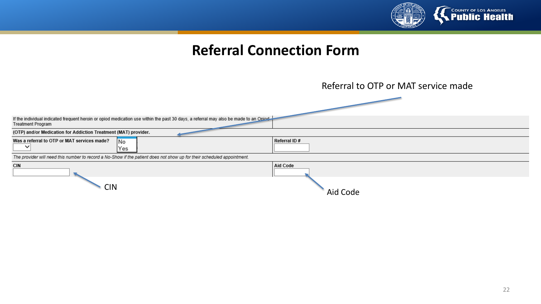

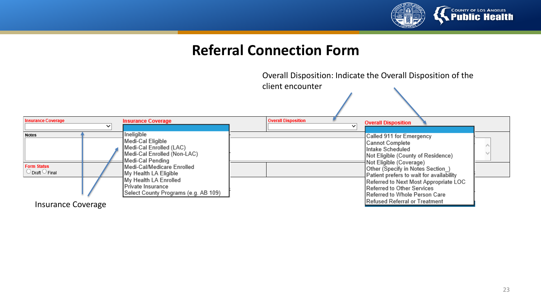

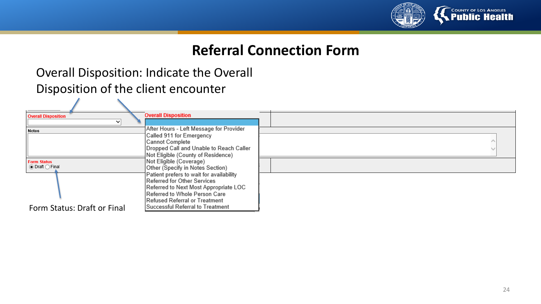

#### Overall Disposition: Indicate the Overall Disposition of the client encounter

| <b>Overall Disposition</b><br>v                      | <b>Overall Disposition</b>                                                                                       |  |
|------------------------------------------------------|------------------------------------------------------------------------------------------------------------------|--|
| Notes                                                | After Hours - Left Message for Provider<br>Called 911 for Emergency                                              |  |
|                                                      | Cannot Complete<br>Dropped Call and Unable to Reach Caller<br>Not Eligible (County of Residence)                 |  |
| <b>Form Status</b><br>$\odot$ Draft $\bigcirc$ Final | Not Eligible (Coverage)<br>Other (Specify in Notes Section)                                                      |  |
|                                                      | Patient prefers to wait for availability<br>Referred for Other Services<br>Referred to Next Most Appropriate LOC |  |
| Form Status: Draft or Final                          | Referred to Whole Person Care<br>Refused Referral or Treatment<br>Successful Referral to Treatment               |  |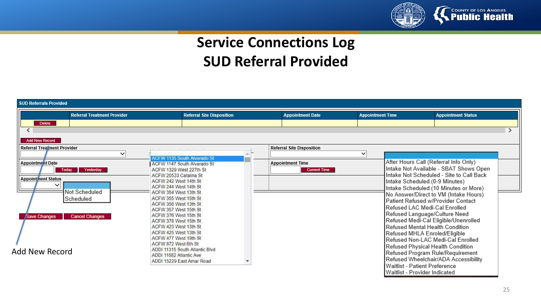

## **Service Connections Log SUD Referral Provided**

| <b>SUD Referrals Provided</b>                                                                                                                                                                                                                                                                                                                                                                                                                                                                                                                                   |                                                                                            |                                                |                                                                                                                                                                                                                                                                                                                                                                                                                                                                             |                                                                                                                                                                                                              |  |
|-----------------------------------------------------------------------------------------------------------------------------------------------------------------------------------------------------------------------------------------------------------------------------------------------------------------------------------------------------------------------------------------------------------------------------------------------------------------------------------------------------------------------------------------------------------------|--------------------------------------------------------------------------------------------|------------------------------------------------|-----------------------------------------------------------------------------------------------------------------------------------------------------------------------------------------------------------------------------------------------------------------------------------------------------------------------------------------------------------------------------------------------------------------------------------------------------------------------------|--------------------------------------------------------------------------------------------------------------------------------------------------------------------------------------------------------------|--|
| <b>Referral Treatment Provider</b>                                                                                                                                                                                                                                                                                                                                                                                                                                                                                                                              | <b>Referral Site Disposition</b>                                                           | <b>Appointment Date</b>                        | <b>Appointment Time</b>                                                                                                                                                                                                                                                                                                                                                                                                                                                     | <b>Appointment Status</b>                                                                                                                                                                                    |  |
| <b>Delete</b>                                                                                                                                                                                                                                                                                                                                                                                                                                                                                                                                                   |                                                                                            |                                                |                                                                                                                                                                                                                                                                                                                                                                                                                                                                             |                                                                                                                                                                                                              |  |
|                                                                                                                                                                                                                                                                                                                                                                                                                                                                                                                                                                 |                                                                                            |                                                |                                                                                                                                                                                                                                                                                                                                                                                                                                                                             |                                                                                                                                                                                                              |  |
| <b>Add New Record</b>                                                                                                                                                                                                                                                                                                                                                                                                                                                                                                                                           |                                                                                            |                                                |                                                                                                                                                                                                                                                                                                                                                                                                                                                                             |                                                                                                                                                                                                              |  |
| <b>Referral Treatment Provider</b>                                                                                                                                                                                                                                                                                                                                                                                                                                                                                                                              |                                                                                            | <b>Referral Site Disposition</b>               |                                                                                                                                                                                                                                                                                                                                                                                                                                                                             |                                                                                                                                                                                                              |  |
| $\checkmark$                                                                                                                                                                                                                                                                                                                                                                                                                                                                                                                                                    | <b>ACFW 1135 South Alvarado St</b>                                                         |                                                | $\checkmark$                                                                                                                                                                                                                                                                                                                                                                                                                                                                |                                                                                                                                                                                                              |  |
| <b>Appointment Date</b><br>ACFW 1329 West 227th St<br>Today<br>Yesterday<br>ACFW 20533 Catalina St<br><b>Appoint nent Status</b><br>ACFW 242 West 14th St<br>ACFW 244 West 14th St<br>Not Scheduled<br>ACFW 354 West 13th St<br>ACFW 355 West 15th St<br>Scheduled<br>ACFW 356 West 13th St<br>ACFW 357 West 15th St<br>ACFW 376 West 15th St<br>Save Changes<br><b>Cancel Changes</b><br>ACFW 378 West 15th St<br>ACFW 423 West 13th St<br>ACFW 425 West 13th St<br>ACFW 477 West 19th St<br>ACFW 872 West 6th St<br>Add New Record<br>ADDI 11682 Atlantic Ave | ACFW 1147 South Alvarado St<br>ADDI 11315 South Atlantic Blvd<br>ADDI 15229 East Amar Road | <b>Appointment Time</b><br><b>Current Time</b> | After Hours Call (Referral Info Only)<br>Intake Scheduled (0-9 Minutes)<br>Patient Refused w/Provider Contact<br>Refused LAC Medi-Cal Enrolled<br>Refused Language/Culture Need<br>Refused Medi-Cal Eligible/Unenrolled<br>Refused Mental Health Condition<br>Refused MHLA Enroled/Eligible<br>Refused Non-LAC Medi-Cal Enrolled<br>Refused Physical Health Condition<br>Refused Program Rule/Requirement<br>Waitlist - Patient Preference<br>Waitlist - Provider Indicated | Intake Not Available - SBAT Shows Open<br>Intake Not Scheduled - Site to Call Back<br>Intake Scheduled (10 Minutes or More)<br>No Answer/Direct to VM (Intake Hours)<br>Refused Wheelchair/ADA Accessibility |  |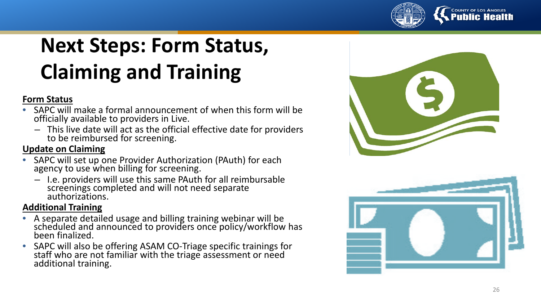

#### **COUNTY OF LOS ANGELES Public Health**

# **Next Steps: Form Status, Claiming and Training**

#### **Form Status**

- SAPC will make a formal announcement of when this form will be officially available to providers in Live.
	- This live date will act as the official effective date for providers to be reimbursed for screening.

#### **Update on Claiming**

- SAPC will set up one Provider Authorization (PAuth) for each agency to use when billing for screening.
	- I.e. providers will use this same PAuth for all reimbursable screenings completed and will not need separate authorizations.

#### **Additional Training**

- A separate detailed usage and billing training webinar will be scheduled and announced to providers once policy/workflow has been finalized.
- SAPC will also be offering ASAM CO -Triage specific trainings for staff who are not familiar with the triage assessment or need additional training.



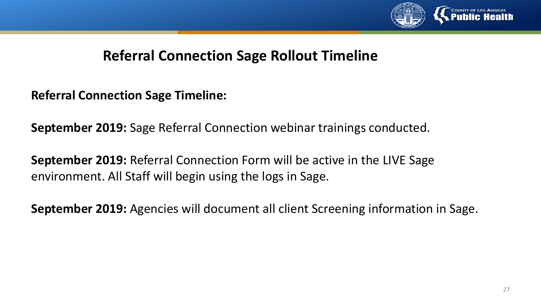

#### **Referral Connection Sage Rollout Timeline**

**Referral Connection Sage Timeline:**

**September 2019:** Sage Referral Connection webinar trainings conducted.

**September 2019:** Referral Connection Form will be active in the LIVE Sage environment. All Staff will begin using the logs in Sage.

**September 2019:** Agencies will document all client Screening information in Sage.